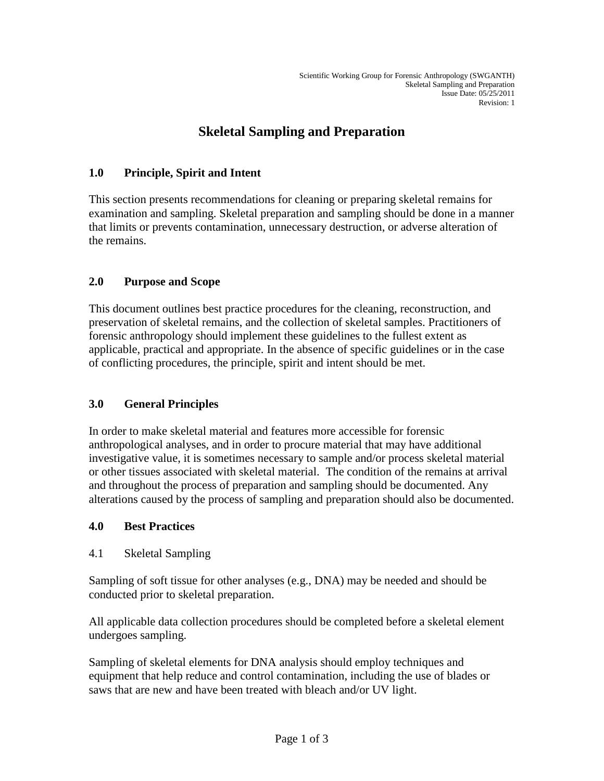# **Skeletal Sampling and Preparation**

### **1.0 Principle, Spirit and Intent**

This section presents recommendations for cleaning or preparing skeletal remains for examination and sampling. Skeletal preparation and sampling should be done in a manner that limits or prevents contamination, unnecessary destruction, or adverse alteration of the remains.

## **2.0 Purpose and Scope**

This document outlines best practice procedures for the cleaning, reconstruction, and preservation of skeletal remains, and the collection of skeletal samples. Practitioners of forensic anthropology should implement these guidelines to the fullest extent as applicable, practical and appropriate. In the absence of specific guidelines or in the case of conflicting procedures, the principle, spirit and intent should be met.

#### **3.0 General Principles**

In order to make skeletal material and features more accessible for forensic anthropological analyses, and in order to procure material that may have additional investigative value, it is sometimes necessary to sample and/or process skeletal material or other tissues associated with skeletal material. The condition of the remains at arrival and throughout the process of preparation and sampling should be documented. Any alterations caused by the process of sampling and preparation should also be documented.

#### **4.0 Best Practices**

4.1 Skeletal Sampling

Sampling of soft tissue for other analyses (e.g., DNA) may be needed and should be conducted prior to skeletal preparation.

All applicable data collection procedures should be completed before a skeletal element undergoes sampling.

Sampling of skeletal elements for DNA analysis should employ techniques and equipment that help reduce and control contamination, including the use of blades or saws that are new and have been treated with bleach and/or UV light.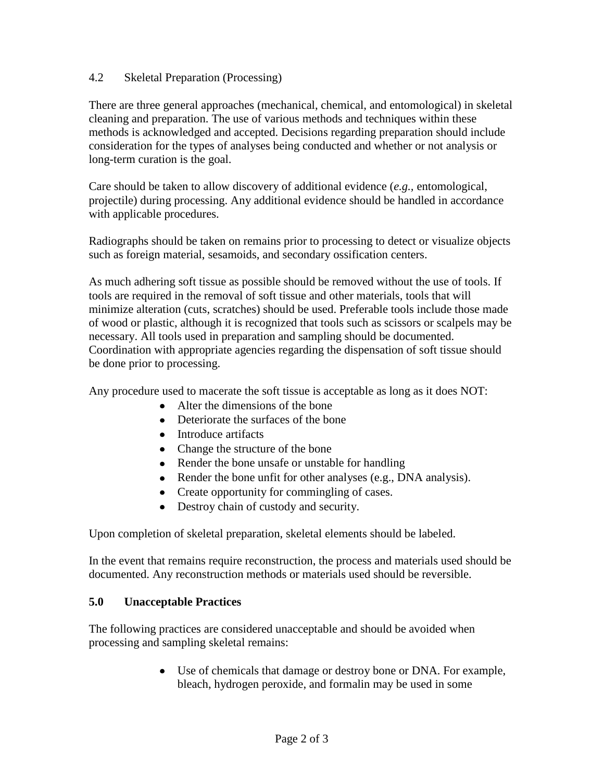#### 4.2 Skeletal Preparation (Processing)

There are three general approaches (mechanical, chemical, and entomological) in skeletal cleaning and preparation. The use of various methods and techniques within these methods is acknowledged and accepted. Decisions regarding preparation should include consideration for the types of analyses being conducted and whether or not analysis or long-term curation is the goal.

Care should be taken to allow discovery of additional evidence (*e.g.,* entomological, projectile) during processing. Any additional evidence should be handled in accordance with applicable procedures.

Radiographs should be taken on remains prior to processing to detect or visualize objects such as foreign material, sesamoids, and secondary ossification centers.

As much adhering soft tissue as possible should be removed without the use of tools. If tools are required in the removal of soft tissue and other materials, tools that will minimize alteration (cuts, scratches) should be used. Preferable tools include those made of wood or plastic, although it is recognized that tools such as scissors or scalpels may be necessary. All tools used in preparation and sampling should be documented. Coordination with appropriate agencies regarding the dispensation of soft tissue should be done prior to processing.

Any procedure used to macerate the soft tissue is acceptable as long as it does NOT:

- Alter the dimensions of the bone
- Deteriorate the surfaces of the bone
- Introduce artifacts
- Change the structure of the bone
- Render the bone unsafe or unstable for handling
- Render the bone unfit for other analyses (e.g., DNA analysis).
- Create opportunity for commingling of cases.
- Destroy chain of custody and security.

Upon completion of skeletal preparation, skeletal elements should be labeled.

In the event that remains require reconstruction, the process and materials used should be documented. Any reconstruction methods or materials used should be reversible.

#### **5.0 Unacceptable Practices**

The following practices are considered unacceptable and should be avoided when processing and sampling skeletal remains:

> Use of chemicals that damage or destroy bone or DNA. For example, bleach, hydrogen peroxide, and formalin may be used in some